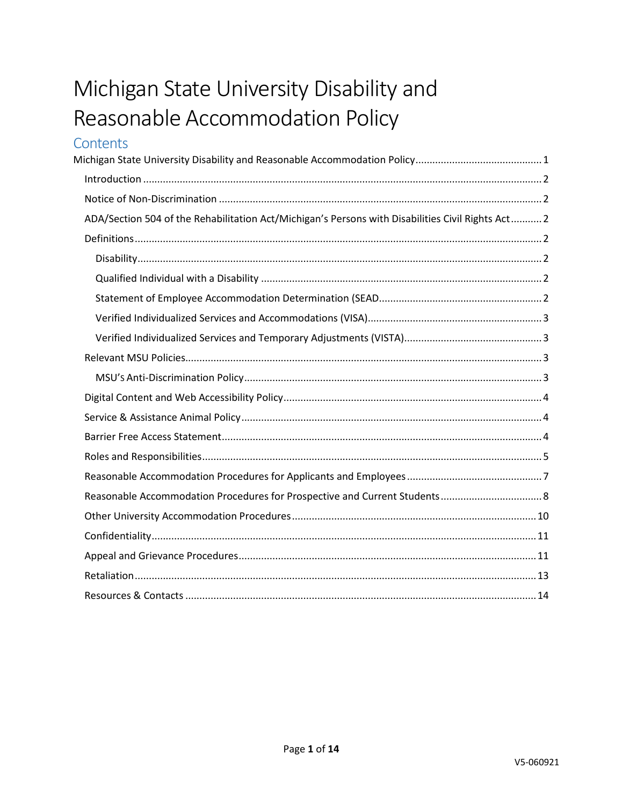# <span id="page-0-0"></span>Michigan State University Disability and Reasonable Accommodation Policy

# Contents

| ADA/Section 504 of the Rehabilitation Act/Michigan's Persons with Disabilities Civil Rights Act 2 |  |
|---------------------------------------------------------------------------------------------------|--|
|                                                                                                   |  |
|                                                                                                   |  |
|                                                                                                   |  |
|                                                                                                   |  |
|                                                                                                   |  |
|                                                                                                   |  |
|                                                                                                   |  |
|                                                                                                   |  |
|                                                                                                   |  |
|                                                                                                   |  |
|                                                                                                   |  |
|                                                                                                   |  |
|                                                                                                   |  |
|                                                                                                   |  |
|                                                                                                   |  |
|                                                                                                   |  |
|                                                                                                   |  |
|                                                                                                   |  |
|                                                                                                   |  |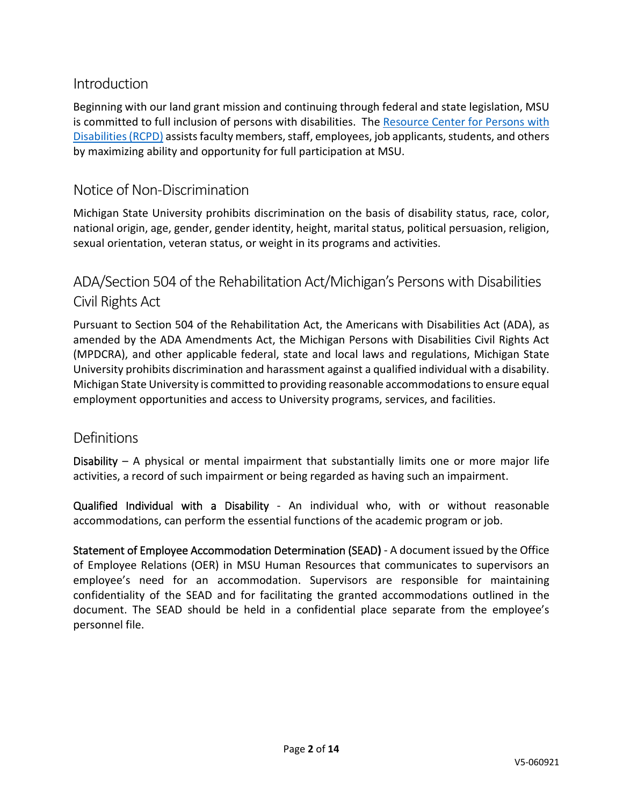## <span id="page-1-0"></span>Introduction

Beginning with our land grant mission and continuing through federal and state legislation, MSU is committed to full inclusion of persons with disabilities. The [Resource Center for Persons with](https://www.rcpd.msu.edu/)  [Disabilities\(](https://www.rcpd.msu.edu/)RCPD) assists faculty members, staff, employees, job applicants, students, and others by maximizing ability and opportunity for full participation at MSU.

## <span id="page-1-1"></span>Notice of Non-Discrimination

Michigan State University prohibits discrimination on the basis of disability status, race, color, national origin, age, gender, gender identity, height, marital status, political persuasion, religion, sexual orientation, veteran status, or weight in its programs and activities.

## <span id="page-1-2"></span>ADA/Section 504 of the Rehabilitation Act/Michigan's Persons with Disabilities Civil Rights Act

Pursuant to Section 504 of the Rehabilitation Act, the Americans with Disabilities Act (ADA), as amended by the ADA Amendments Act, the Michigan Persons with Disabilities Civil Rights Act (MPDCRA), and other applicable federal, state and local laws and regulations, Michigan State University prohibits discrimination and harassment against a qualified individual with a disability. Michigan State University is committed to providing reasonable accommodations to ensure equal employment opportunities and access to University programs, services, and facilities.

## <span id="page-1-3"></span>Definitions

<span id="page-1-4"></span>Disability – A physical or mental impairment that substantially limits one or more major life activities, a record of such impairment or being regarded as having such an impairment.

<span id="page-1-5"></span>Qualified Individual with a Disability - An individual who, with or without reasonable accommodations, can perform the essential functions of the academic program or job.

<span id="page-1-6"></span>Statement of Employee Accommodation Determination (SEAD**)** - A document issued by the Office of Employee Relations (OER) in MSU Human Resources that communicates to supervisors an employee's need for an accommodation. Supervisors are responsible for maintaining confidentiality of the SEAD and for facilitating the granted accommodations outlined in the document. The SEAD should be held in a confidential place separate from the employee's personnel file.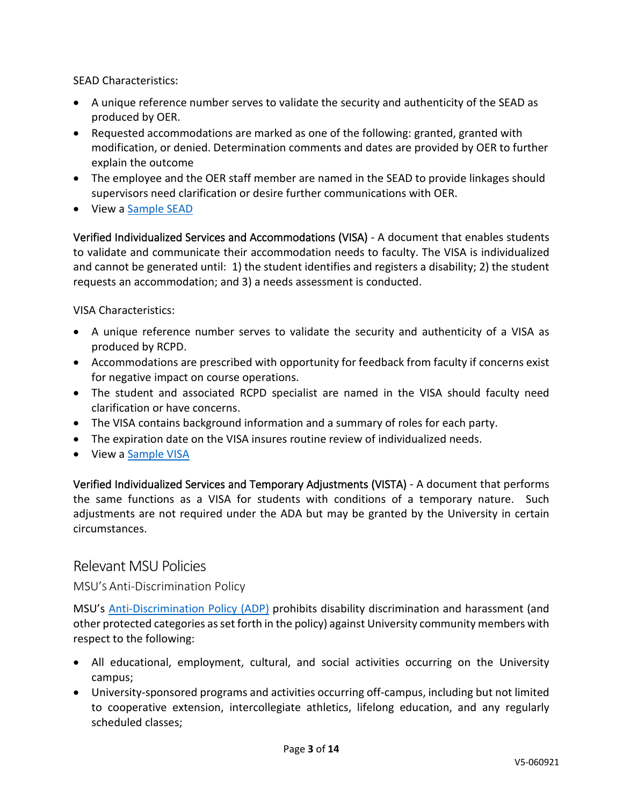SEAD Characteristics:

- A unique reference number serves to validate the security and authenticity of the SEAD as produced by OER.
- Requested accommodations are marked as one of the following: granted, granted with modification, or denied. Determination comments and dates are provided by OER to further explain the outcome
- The employee and the OER staff member are named in the SEAD to provide linkages should supervisors need clarification or desire further communications with OER.
- View a [Sample SEAD](https://www.rcpd.msu.edu/sites/default/files/2020-04/sample-sead.pdf)

<span id="page-2-0"></span>Verified Individualized Services and Accommodations (VISA) - A document that enables students to validate and communicate their accommodation needs to faculty. The VISA is individualized and cannot be generated until: 1) the student identifies and registers a disability; 2) the student requests an accommodation; and 3) a needs assessment is conducted.

VISA Characteristics:

- A unique reference number serves to validate the security and authenticity of a VISA as produced by RCPD.
- Accommodations are prescribed with opportunity for feedback from faculty if concerns exist for negative impact on course operations.
- The student and associated RCPD specialist are named in the VISA should faculty need clarification or have concerns.
- The VISA contains background information and a summary of roles for each party.
- The expiration date on the VISA insures routine review of individualized needs.
- View a [Sample VISA](https://www.rcpd.msu.edu/sites/default/files/2020-04/sample-visa.pdf)

<span id="page-2-1"></span>Verified Individualized Services and Temporary Adjustments (VISTA) - A document that performs the same functions as a VISA for students with conditions of a temporary nature. Such adjustments are not required under the ADA but may be granted by the University in certain circumstances.

#### <span id="page-2-2"></span>Relevant MSU Policies

<span id="page-2-3"></span>MSU'S Anti-Discrimination Policy

MSU's [Anti-Discrimination Policy \(ADP\)](https://hr.msu.edu/policies-procedures/university-wide/ADP_policy.html) prohibits disability discrimination and harassment (and other protected categories as set forth in the policy) against University community members with respect to the following:

- All educational, employment, cultural, and social activities occurring on the University campus;
- University-sponsored programs and activities occurring off-campus, including but not limited to cooperative extension, intercollegiate athletics, lifelong education, and any regularly scheduled classes;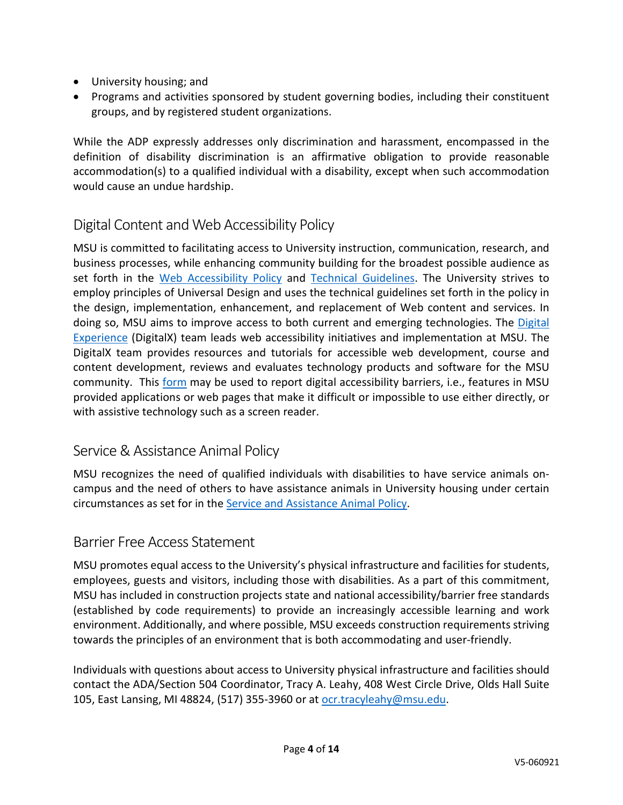- University housing; and
- Programs and activities sponsored by student governing bodies, including their constituent groups, and by registered student organizations.

While the ADP expressly addresses only discrimination and harassment, encompassed in the definition of disability discrimination is an affirmative obligation to provide reasonable accommodation(s) to a qualified individual with a disability, except when such accommodation would cause an undue hardship.

## <span id="page-3-0"></span>Digital Content and Web Accessibility Policy

MSU is committed to facilitating access to University instruction, communication, research, and business processes, while enhancing community building for the broadest possible audience as set forth in the [Web Accessibility Policy](https://webaccess.msu.edu/Policy_and_Guidelines/web-accessibility-policy.html) and [Technical Guidelines.](https://webaccess.msu.edu/Policy_and_Guidelines/technical-guidelines.html) The University strives to employ principles of Universal Design and uses the technical guidelines set forth in the policy in the design, implementation, enhancement, and replacement of Web content and services. In doing so, MSU aims to improve access to both current and emerging technologies. The [Digital](https://webaccess.msu.edu/Policy_and_Guidelines/digitalx.html)  [Experience](https://webaccess.msu.edu/Policy_and_Guidelines/digitalx.html) (DigitalX) team leads web accessibility initiatives and implementation at MSU. The DigitalX team provides resources and tutorials for accessible web development, course and content development, reviews and evaluates technology products and software for the MSU community. This [form](https://webaccess.msu.edu/accessibility_report_form/report-form.php) may be used to report digital accessibility barriers, i.e., features in MSU provided applications or web pages that make it difficult or impossible to use either directly, or with assistive technology such as a screen reader.

## <span id="page-3-1"></span>Service & Assistance Animal Policy

MSU recognizes the need of qualified individuals with disabilities to have service animals oncampus and the need of others to have assistance animals in University housing under certain circumstances as set for in the [Service and Assistance Animal Policy.](https://www.rcpd.msu.edu/services/serviceanimal)

#### <span id="page-3-2"></span>Barrier Free Access Statement

MSU promotes equal access to the University's physical infrastructure and facilities for students, employees, guests and visitors, including those with disabilities. As a part of this commitment, MSU has included in construction projects state and national accessibility/barrier free standards (established by code requirements) to provide an increasingly accessible learning and work environment. Additionally, and where possible, MSU exceeds construction requirements striving towards the principles of an environment that is both accommodating and user-friendly.

Individuals with questions about access to University physical infrastructure and facilities should contact the ADA/Section 504 Coordinator, Tracy A. Leahy, 408 West Circle Drive, Olds Hall Suite 105, East Lansing, MI 48824, (517) 355-3960 or at [ocr.tracyleahy@msu.edu.](mailto:ocr.tracyleahy@msu.edu)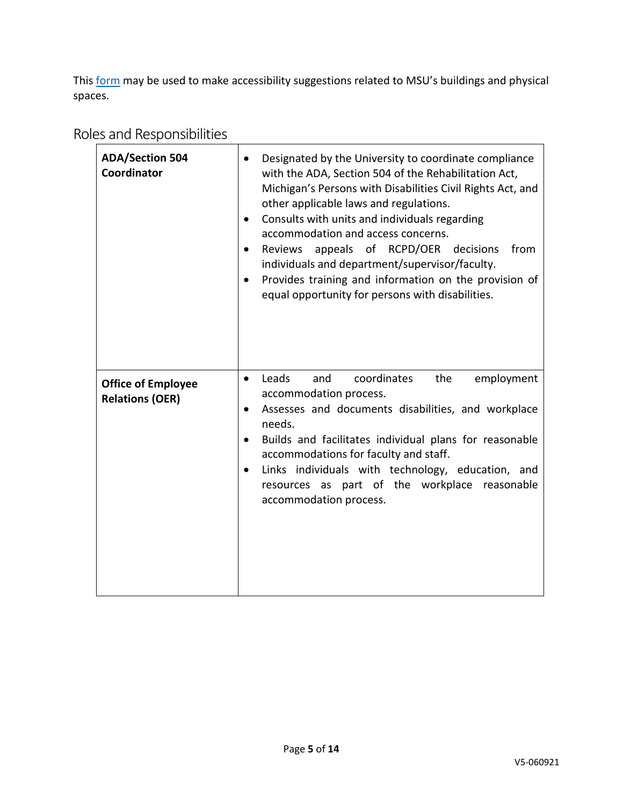This [form](https://opb.msu.edu/functions/facilities/accessibility/spaceaccess/index.html) may be used to make accessibility suggestions related to MSU's buildings and physical spaces.

# <span id="page-4-0"></span>Roles and Responsibilities

| <b>ADA/Section 504</b><br>Coordinator               | Designated by the University to coordinate compliance<br>with the ADA, Section 504 of the Rehabilitation Act,<br>Michigan's Persons with Disabilities Civil Rights Act, and<br>other applicable laws and regulations.<br>Consults with units and individuals regarding<br>accommodation and access concerns.<br>appeals of RCPD/OER<br>decisions<br>from<br>Reviews<br>individuals and department/supervisor/faculty.<br>Provides training and information on the provision of<br>equal opportunity for persons with disabilities. |
|-----------------------------------------------------|------------------------------------------------------------------------------------------------------------------------------------------------------------------------------------------------------------------------------------------------------------------------------------------------------------------------------------------------------------------------------------------------------------------------------------------------------------------------------------------------------------------------------------|
| <b>Office of Employee</b><br><b>Relations (OER)</b> | Leads<br>coordinates<br>the<br>employment<br>and<br>$\bullet$<br>accommodation process.<br>Assesses and documents disabilities, and workplace<br>needs.<br>Builds and facilitates individual plans for reasonable<br>$\bullet$<br>accommodations for faculty and staff.<br>Links individuals with technology, education, and<br>resources as part of the workplace reasonable<br>accommodation process.                                                                                                                            |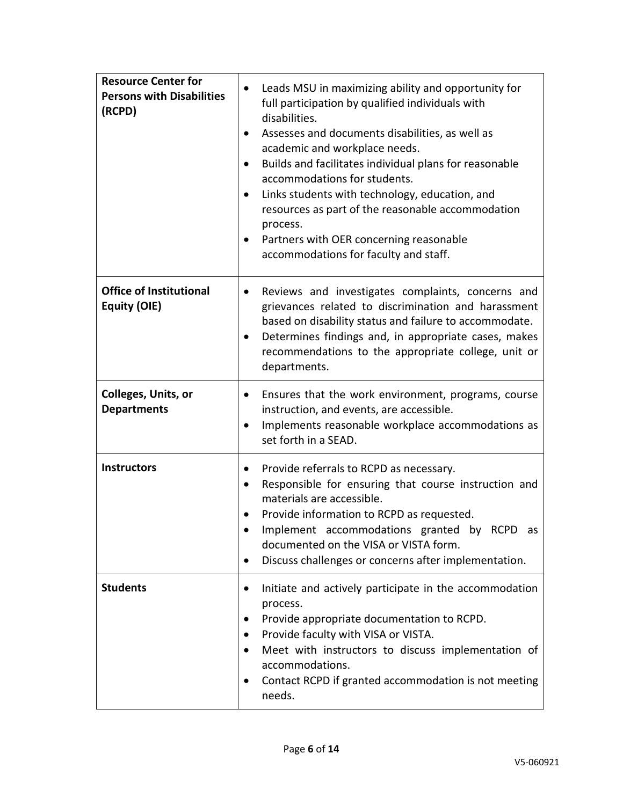| <b>Resource Center for</b><br><b>Persons with Disabilities</b><br>(RCPD) | Leads MSU in maximizing ability and opportunity for<br>full participation by qualified individuals with<br>disabilities.<br>Assesses and documents disabilities, as well as<br>٠<br>academic and workplace needs.<br>Builds and facilitates individual plans for reasonable<br>٠<br>accommodations for students.<br>Links students with technology, education, and<br>$\bullet$<br>resources as part of the reasonable accommodation<br>process.<br>Partners with OER concerning reasonable<br>٠<br>accommodations for faculty and staff. |
|--------------------------------------------------------------------------|-------------------------------------------------------------------------------------------------------------------------------------------------------------------------------------------------------------------------------------------------------------------------------------------------------------------------------------------------------------------------------------------------------------------------------------------------------------------------------------------------------------------------------------------|
| <b>Office of Institutional</b><br>Equity (OIE)                           | Reviews and investigates complaints, concerns and<br>$\bullet$<br>grievances related to discrimination and harassment<br>based on disability status and failure to accommodate.<br>Determines findings and, in appropriate cases, makes<br>٠<br>recommendations to the appropriate college, unit or<br>departments.                                                                                                                                                                                                                       |
| Colleges, Units, or<br><b>Departments</b>                                | Ensures that the work environment, programs, course<br>$\bullet$<br>instruction, and events, are accessible.<br>Implements reasonable workplace accommodations as<br>$\bullet$<br>set forth in a SEAD.                                                                                                                                                                                                                                                                                                                                    |
| <b>Instructors</b>                                                       | Provide referrals to RCPD as necessary.<br>٠<br>Responsible for ensuring that course instruction and<br>materials are accessible.<br>Provide information to RCPD as requested.<br>Implement accommodations granted by RCPD as<br>documented on the VISA or VISTA form.<br>Discuss challenges or concerns after implementation.<br>٠                                                                                                                                                                                                       |
| <b>Students</b>                                                          | Initiate and actively participate in the accommodation<br>process.<br>Provide appropriate documentation to RCPD.<br>٠<br>Provide faculty with VISA or VISTA.<br>Meet with instructors to discuss implementation of<br>accommodations.<br>Contact RCPD if granted accommodation is not meeting<br>٠<br>needs.                                                                                                                                                                                                                              |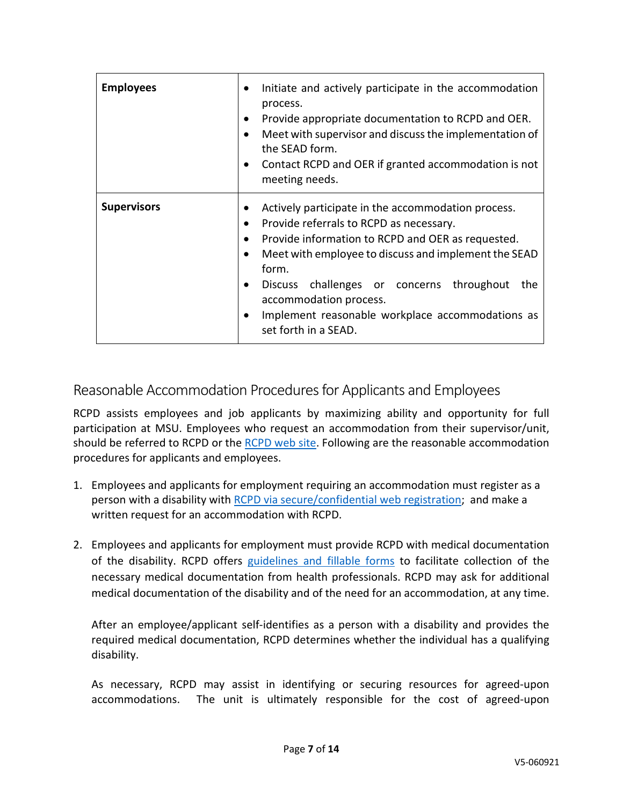| <b>Employees</b>   | Initiate and actively participate in the accommodation<br>process.<br>Provide appropriate documentation to RCPD and OER.<br>Meet with supervisor and discuss the implementation of<br>the SEAD form.<br>Contact RCPD and OER if granted accommodation is not<br>meeting needs.                                                                                                |
|--------------------|-------------------------------------------------------------------------------------------------------------------------------------------------------------------------------------------------------------------------------------------------------------------------------------------------------------------------------------------------------------------------------|
| <b>Supervisors</b> | Actively participate in the accommodation process.<br>Provide referrals to RCPD as necessary.<br>Provide information to RCPD and OER as requested.<br>Meet with employee to discuss and implement the SEAD<br>form.<br>Discuss challenges or concerns throughout<br>the<br>accommodation process.<br>Implement reasonable workplace accommodations as<br>set forth in a SEAD. |

## <span id="page-6-0"></span>Reasonable Accommodation Procedures for Applicants and Employees

RCPD assists employees and job applicants by maximizing ability and opportunity for full participation at MSU. Employees who request an accommodation from their supervisor/unit, should be referred to RCPD or the [RCPD web site.](http://www.rcpd.msu.edu/) Following are the reasonable accommodation procedures for applicants and employees.

- 1. Employees and applicants for employment requiring an accommodation must register as a person with a disability with [RCPD via secure/confidential web registration;](https://myprofile.rcpd.msu.edu/) and make a written request for an accommodation with RCPD.
- 2. Employees and applicants for employment must provide RCPD with medical documentation of the disability. RCPD offers [guidelines and fillable forms](https://www.rcpd.msu.edu/services/documentation) to facilitate collection of the necessary medical documentation from health professionals. RCPD may ask for additional medical documentation of the disability and of the need for an accommodation, at any time.

After an employee/applicant self-identifies as a person with a disability and provides the required medical documentation, RCPD determines whether the individual has a qualifying disability.

As necessary, RCPD may assist in identifying or securing resources for agreed-upon accommodations. The unit is ultimately responsible for the cost of agreed-upon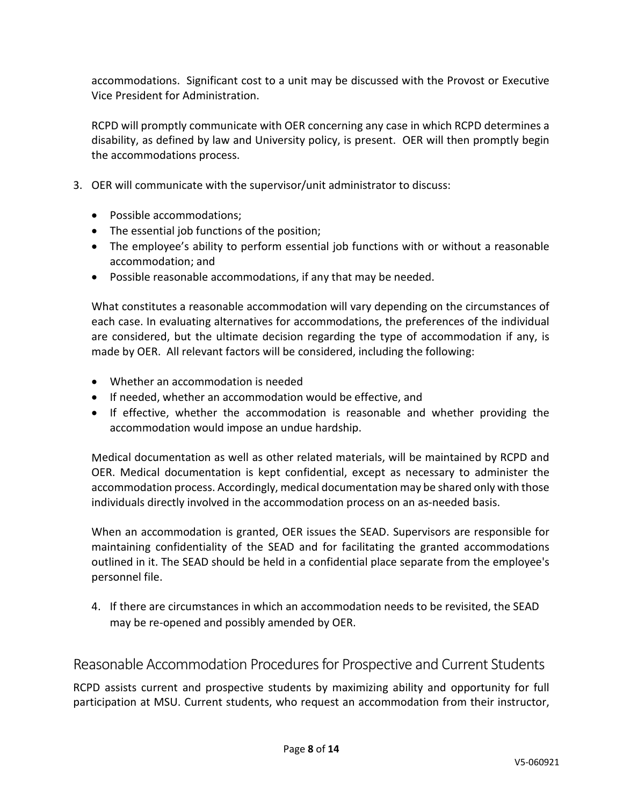accommodations. Significant cost to a unit may be discussed with the Provost or Executive Vice President for Administration.

RCPD will promptly communicate with OER concerning any case in which RCPD determines a disability, as defined by law and University policy, is present. OER will then promptly begin the accommodations process.

- 3. OER will communicate with the supervisor/unit administrator to discuss:
	- Possible accommodations;
	- The essential job functions of the position;
	- The employee's ability to perform essential job functions with or without a reasonable accommodation; and
	- Possible reasonable accommodations, if any that may be needed.

What constitutes a reasonable accommodation will vary depending on the circumstances of each case. In evaluating alternatives for accommodations, the preferences of the individual are considered, but the ultimate decision regarding the type of accommodation if any, is made by OER. All relevant factors will be considered, including the following:

- Whether an accommodation is needed
- If needed, whether an accommodation would be effective, and
- If effective, whether the accommodation is reasonable and whether providing the accommodation would impose an undue hardship.

Medical documentation as well as other related materials, will be maintained by RCPD and OER. Medical documentation is kept confidential, except as necessary to administer the accommodation process. Accordingly, medical documentation may be shared only with those individuals directly involved in the accommodation process on an as-needed basis.

When an accommodation is granted, OER issues the SEAD. Supervisors are responsible for maintaining confidentiality of the SEAD and for facilitating the granted accommodations outlined in it. The SEAD should be held in a confidential place separate from the employee's personnel file.

4. If there are circumstances in which an accommodation needs to be revisited, the SEAD may be re-opened and possibly amended by OER.

<span id="page-7-0"></span>Reasonable Accommodation Procedures for Prospective and Current Students

RCPD assists current and prospective students by maximizing ability and opportunity for full participation at MSU. Current students, who request an accommodation from their instructor,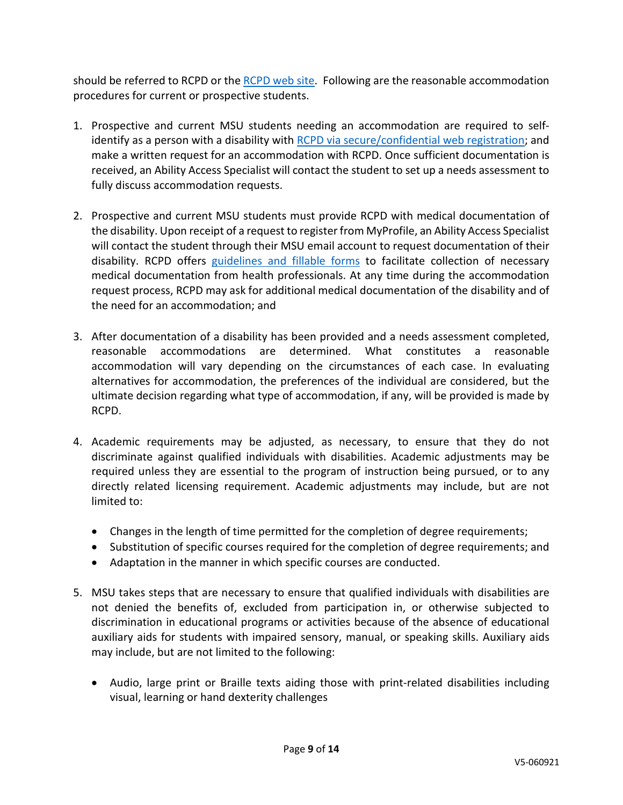should be referred to RCPD or the [RCPD web site.](http://www.rcpd.msu.edu/) Following are the reasonable accommodation procedures for current or prospective students.

- 1. Prospective and current MSU students needing an accommodation are required to selfidentify as a person with a disability with [RCPD via secure/confidential web registration;](https://login.msu.edu/?App=RCPD_Profile) and make a written request for an accommodation with RCPD. Once sufficient documentation is received, an Ability Access Specialist will contact the student to set up a needs assessment to fully discuss accommodation requests.
- 2. Prospective and current MSU students must provide RCPD with medical documentation of the disability. Upon receipt of a request to register from MyProfile, an Ability Access Specialist will contact the student through their MSU email account to request documentation of their disability. RCPD offers [guidelines and fillable forms](https://www.rcpd.msu.edu/services/documentation) to facilitate collection of necessary medical documentation from health professionals. At any time during the accommodation request process, RCPD may ask for additional medical documentation of the disability and of the need for an accommodation; and
- 3. After documentation of a disability has been provided and a needs assessment completed, reasonable accommodations are determined. What constitutes a reasonable accommodation will vary depending on the circumstances of each case. In evaluating alternatives for accommodation, the preferences of the individual are considered, but the ultimate decision regarding what type of accommodation, if any, will be provided is made by RCPD.
- 4. Academic requirements may be adjusted, as necessary, to ensure that they do not discriminate against qualified individuals with disabilities. Academic adjustments may be required unless they are essential to the program of instruction being pursued, or to any directly related licensing requirement. Academic adjustments may include, but are not limited to:
	- Changes in the length of time permitted for the completion of degree requirements;
	- Substitution of specific courses required for the completion of degree requirements; and
	- Adaptation in the manner in which specific courses are conducted.
- 5. MSU takes steps that are necessary to ensure that qualified individuals with disabilities are not denied the benefits of, excluded from participation in, or otherwise subjected to discrimination in educational programs or activities because of the absence of educational auxiliary aids for students with impaired sensory, manual, or speaking skills. Auxiliary aids may include, but are not limited to the following:
	- Audio, large print or Braille texts aiding those with print-related disabilities including visual, learning or hand dexterity challenges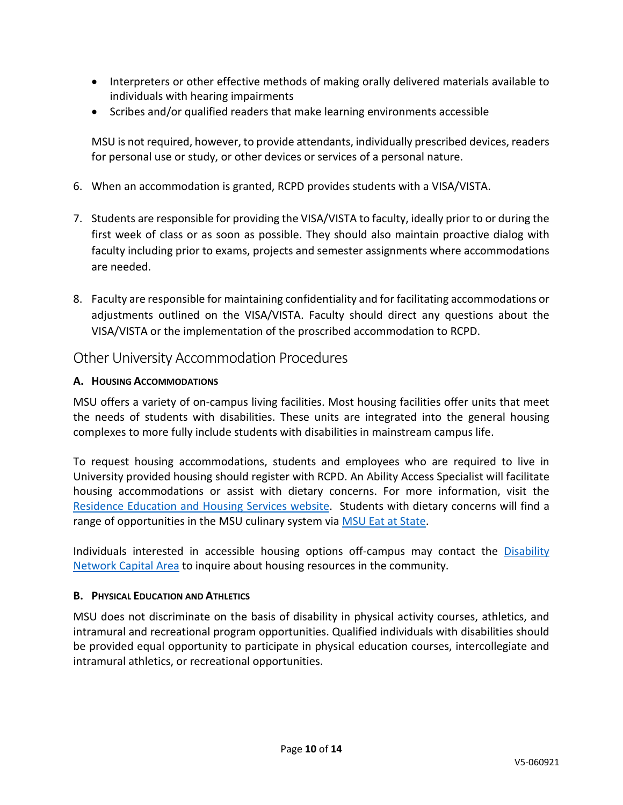- Interpreters or other effective methods of making orally delivered materials available to individuals with hearing impairments
- Scribes and/or qualified readers that make learning environments accessible

MSU is not required, however, to provide attendants, individually prescribed devices, readers for personal use or study, or other devices or services of a personal nature.

- 6. When an accommodation is granted, RCPD provides students with a VISA/VISTA.
- 7. Students are responsible for providing the VISA/VISTA to faculty, ideally prior to or during the first week of class or as soon as possible. They should also maintain proactive dialog with faculty including prior to exams, projects and semester assignments where accommodations are needed.
- 8. Faculty are responsible for maintaining confidentiality and for facilitating accommodations or adjustments outlined on the VISA/VISTA. Faculty should direct any questions about the VISA/VISTA or the implementation of the proscribed accommodation to RCPD.

#### <span id="page-9-0"></span>Other University Accommodation Procedures

#### **A. HOUSING ACCOMMODATIONS**

MSU offers a variety of on-campus living facilities. Most housing facilities offer units that meet the needs of students with disabilities. These units are integrated into the general housing complexes to more fully include students with disabilities in mainstream campus life.

To request housing accommodations, students and employees who are required to live in University provided housing should register with RCPD. An Ability Access Specialist will facilitate housing accommodations or assist with dietary concerns. For more information, visit the [Residence Education and Housing Services website.](http://liveon.msu.edu/) Students with dietary concerns will find a range of opportunities in the MSU culinary system via [MSU Eat at State.](https://eatatstate.com/)

Individuals interested in accessible housing options off-campus may contact the [Disability](http://www.dncap.org/)  [Network Capital Area](http://www.dncap.org/) to inquire about housing resources in the community.

#### **B. PHYSICAL EDUCATION AND ATHLETICS**

MSU does not discriminate on the basis of disability in physical activity courses, athletics, and intramural and recreational program opportunities. Qualified individuals with disabilities should be provided equal opportunity to participate in physical education courses, intercollegiate and intramural athletics, or recreational opportunities.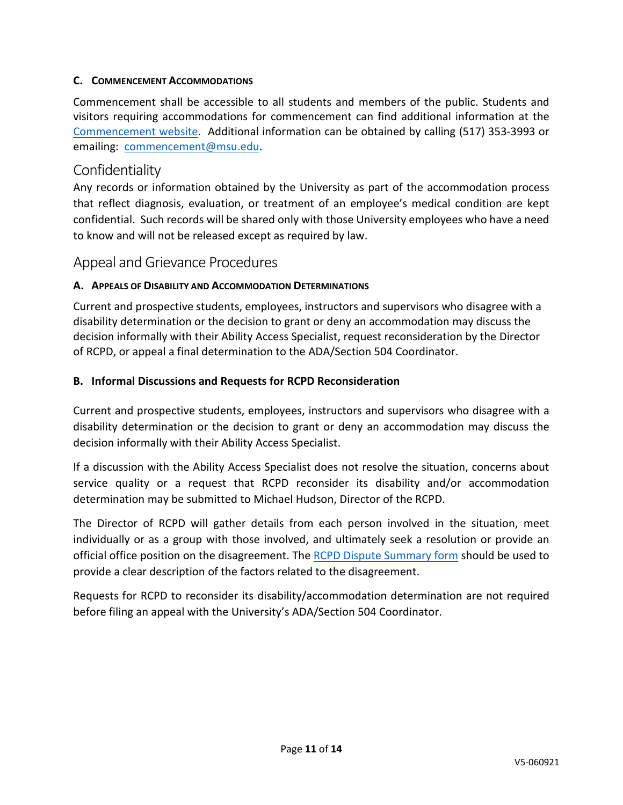#### **C. COMMENCEMENT ACCOMMODATIONS**

Commencement shall be accessible to all students and members of the public. Students and visitors requiring accommodations for commencement can find additional information at the [Commencement website.](https://commencement.msu.edu/disability-accommodations) Additional information can be obtained by calling (517) 353-3993 or emailing: [commencement@msu.edu.](mailto:commencement@msu.edu)

#### <span id="page-10-0"></span>**Confidentiality**

Any records or information obtained by the University as part of the accommodation process that reflect diagnosis, evaluation, or treatment of an employee's medical condition are kept confidential. Such records will be shared only with those University employees who have a need to know and will not be released except as required by law.

### <span id="page-10-1"></span>Appeal and Grievance Procedures

#### **A. APPEALS OF DISABILITY AND ACCOMMODATION DETERMINATIONS**

Current and prospective students, employees, instructors and supervisors who disagree with a disability determination or the decision to grant or deny an accommodation may discuss the decision informally with their Ability Access Specialist, request reconsideration by the Director of RCPD, or appeal a final determination to the ADA/Section 504 Coordinator.

#### **B. Informal Discussions and Requests for RCPD Reconsideration**

Current and prospective students, employees, instructors and supervisors who disagree with a disability determination or the decision to grant or deny an accommodation may discuss the decision informally with their Ability Access Specialist.

If a discussion with the Ability Access Specialist does not resolve the situation, concerns about service quality or a request that RCPD reconsider its disability and/or accommodation determination may be submitted to Michael Hudson, Director of the RCPD.

The Director of RCPD will gather details from each person involved in the situation, meet individually or as a group with those involved, and ultimately seek a resolution or provide an official office position on the disagreement. The [RCPD Dispute Summary form](https://www.rcpd.msu.edu/form/dispute-resolution) should be used to provide a clear description of the factors related to the disagreement.

Requests for RCPD to reconsider its disability/accommodation determination are not required before filing an appeal with the University's ADA/Section 504 Coordinator.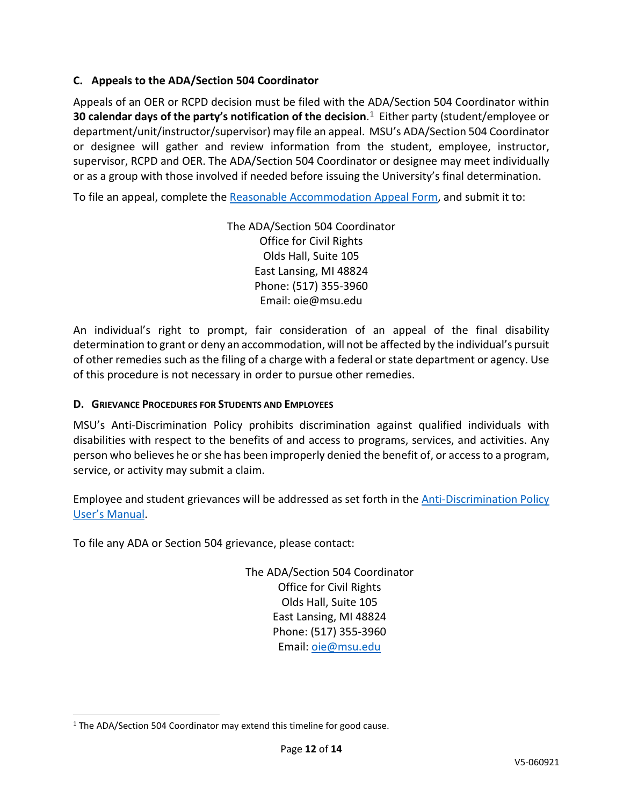#### **C. Appeals to the ADA/Section 504 Coordinator**

Appeals of an OER or RCPD decision must be filed with the ADA/Section 504 Coordinator within **30 calendar days of the party's notification of the decision**. [1](#page-11-0)Either party (student/employee or department/unit/instructor/supervisor) may file an appeal.MSU's ADA/Section 504 Coordinator or designee will gather and review information from the student, employee, instructor, supervisor, RCPD and OER. The ADA/Section 504 Coordinator or designee may meet individually or as a group with those involved if needed before issuing the University's final determination.

To file an appeal, complete the [Reasonable Accommodation Appeal Form,](https://msu.co1.qualtrics.com/jfe/form/SV_6qTnWTh5zQp7Zsx) and submit it to:

The ADA/Section 504 Coordinator Office for Civil Rights Olds Hall, Suite 105 East Lansing, MI 48824 Phone: (517) 355-3960 Email: oie@msu.edu

An individual's right to prompt, fair consideration of an appeal of the final disability determination to grant or deny an accommodation, will not be affected by the individual's pursuit of other remedies such as the filing of a charge with a federal or state department or agency. Use of this procedure is not necessary in order to pursue other remedies.

#### **D. GRIEVANCE PROCEDURES FOR STUDENTS AND EMPLOYEES**

MSU's Anti-Discrimination Policy prohibits discrimination against qualified individuals with disabilities with respect to the benefits of and access to programs, services, and activities. Any person who believes he or she has been improperly denied the benefit of, or access to a program, service, or activity may submit a claim.

Employee and student grievances will be addressed as set forth in the [Anti-Discrimination Policy](https://civilrights.msu.edu/_assets/documents/ADP%20Users%20Manual%20-%20Updated%202020.02.171.pdf)  [User's Manual.](https://civilrights.msu.edu/_assets/documents/ADP%20Users%20Manual%20-%20Updated%202020.02.171.pdf)

To file any ADA or Section 504 grievance, please contact:

The ADA/Section 504 Coordinator Office for Civil Rights Olds Hall, Suite 105 East Lansing, MI 48824 Phone: (517) 355-3960 Email: [oie@msu.edu](mailto:oie@msu.edu) 

<span id="page-11-0"></span><sup>&</sup>lt;sup>1</sup> The ADA/Section 504 Coordinator may extend this timeline for good cause.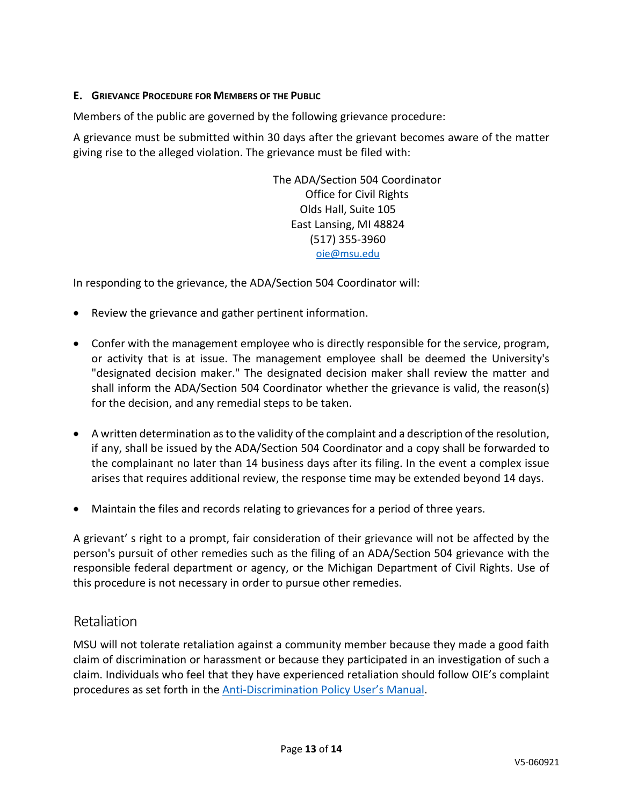#### **E. GRIEVANCE PROCEDURE FOR MEMBERS OF THE PUBLIC**

Members of the public are governed by the following grievance procedure:

A grievance must be submitted within 30 days after the grievant becomes aware of the matter giving rise to the alleged violation. The grievance must be filed with:

> The ADA/Section 504 Coordinator Office for Civil Rights Olds Hall, Suite 105 East Lansing, MI 48824 (517) 355-3960 [oie@msu.edu](mailto:oie@msu.edu)

In responding to the grievance, the ADA/Section 504 Coordinator will:

- Review the grievance and gather pertinent information.
- Confer with the management employee who is directly responsible for the service, program, or activity that is at issue. The management employee shall be deemed the University's "designated decision maker." The designated decision maker shall review the matter and shall inform the ADA/Section 504 Coordinator whether the grievance is valid, the reason(s) for the decision, and any remedial steps to be taken.
- A written determination as to the validity of the complaint and a description of the resolution, if any, shall be issued by the ADA/Section 504 Coordinator and a copy shall be forwarded to the complainant no later than 14 business days after its filing. In the event a complex issue arises that requires additional review, the response time may be extended beyond 14 days.
- Maintain the files and records relating to grievances for a period of three years.

A grievant' s right to a prompt, fair consideration of their grievance will not be affected by the person's pursuit of other remedies such as the filing of an ADA/Section 504 grievance with the responsible federal department or agency, or the Michigan Department of Civil Rights. Use of this procedure is not necessary in order to pursue other remedies.

#### <span id="page-12-0"></span>Retaliation

MSU will not tolerate retaliation against a community member because they made a good faith claim of discrimination or harassment or because they participated in an investigation of such a claim. Individuals who feel that they have experienced retaliation should follow OIE's complaint procedures as set forth in the **Anti-Discrimination Policy User's Manual**.